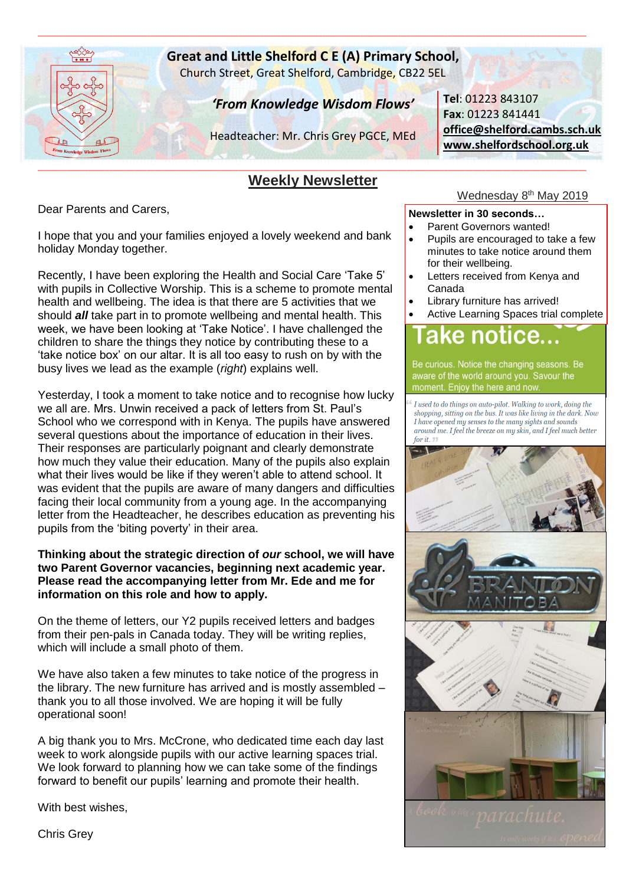

# **Great and Little Shelford C E (A) Primary School,**

\_\_\_\_\_\_\_\_\_\_\_\_\_\_\_\_\_\_\_\_\_\_\_\_\_\_\_\_\_\_\_\_\_\_\_\_\_\_\_\_\_\_\_\_\_\_\_\_\_\_\_\_\_\_\_\_\_\_\_\_\_\_\_\_\_\_\_\_\_\_\_\_\_\_\_\_\_\_\_\_\_\_\_\_\_\_\_\_\_\_\_\_\_\_\_\_\_\_\_\_\_\_\_\_\_\_\_\_\_\_\_\_\_\_\_\_\_\_\_\_\_\_\_\_\_\_\_\_\_\_\_

Church Street, Great Shelford, Cambridge, CB22 5EL

# *'From Knowledge Wisdom Flows'*

Headteacher: Mr. Chris Grey PGCE, MEd

#### \_\_\_\_\_\_\_\_\_\_\_\_\_\_\_\_\_\_\_\_\_\_\_\_\_\_\_\_\_\_\_\_\_\_\_\_\_\_\_\_\_\_\_\_\_\_\_\_\_\_\_\_\_\_\_\_\_\_\_\_\_\_\_\_\_\_\_\_\_\_\_\_\_\_\_\_\_\_\_\_\_\_\_\_\_\_\_\_\_\_\_\_\_\_\_\_\_\_\_\_\_\_\_\_\_\_\_\_\_\_\_\_\_\_\_\_\_\_\_\_\_\_\_\_\_\_\_\_\_\_\_ **Weekly Newsletter**

Dear Parents and Carers,

I hope that you and your families enjoyed a lovely weekend and bank holiday Monday together.

Recently, I have been exploring the Health and Social Care 'Take 5' with pupils in Collective Worship. This is a scheme to promote mental health and wellbeing. The idea is that there are 5 activities that we should *all* take part in to promote wellbeing and mental health. This week, we have been looking at 'Take Notice'. I have challenged the children to share the things they notice by contributing these to a 'take notice box' on our altar. It is all too easy to rush on by with the busy lives we lead as the example (*right*) explains well.

Yesterday, I took a moment to take notice and to recognise how lucky we all are. Mrs. Unwin received a pack of letters from St. Paul's School who we correspond with in Kenya. The pupils have answered several questions about the importance of education in their lives. Their responses are particularly poignant and clearly demonstrate how much they value their education. Many of the pupils also explain what their lives would be like if they weren't able to attend school. It was evident that the pupils are aware of many dangers and difficulties facing their local community from a young age. In the accompanying letter from the Headteacher, he describes education as preventing his pupils from the 'biting poverty' in their area.

#### **Thinking about the strategic direction of** *our* **school, we will have two Parent Governor vacancies, beginning next academic year. Please read the accompanying letter from Mr. Ede and me for information on this role and how to apply.**

On the theme of letters, our Y2 pupils received letters and badges from their pen-pals in Canada today. They will be writing replies, which will include a small photo of them.

We have also taken a few minutes to take notice of the progress in the library. The new furniture has arrived and is mostly assembled – thank you to all those involved. We are hoping it will be fully operational soon!

A big thank you to Mrs. McCrone, who dedicated time each day last week to work alongside pupils with our active learning spaces trial. We look forward to planning how we can take some of the findings forward to benefit our pupils' learning and promote their health.

With best wishes,

**Tel**: 01223 843107 **Fax**: 01223 841441 **[office@shelford.cambs.sch.uk](mailto:office@shelford.cambs.sch.uk) [www.shelfordschool.org.uk](http://www.shelfordschool.org.uk/)**

# Wednesday 8<sup>th</sup> May 2019

#### **Newsletter in 30 seconds…**

- Parent Governors wanted!
- Pupils are encouraged to take a few minutes to take notice around them for their wellbeing.
- Letters received from Kenya and Canada
- Library furniture has arrived!
- Active Learning Spaces trial complete

Be curious. Notice the changing seasons. Be aware of the world around you. Savour the moment. Enjoy the here and now

I used to do things on auto-pilot. Walking to work, doing the shopping, sitting on the bus. It was like living in the dark. Now I have opened my senses to the many sights and sounds around me. I feel the breeze on my skin, and I feel much better for it.



Chris Grey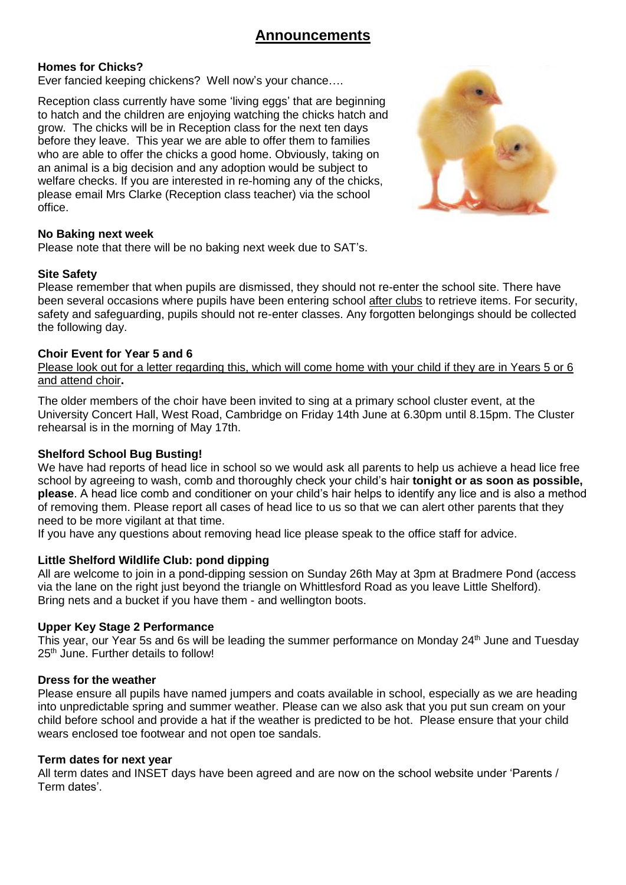# **Homes for Chicks?**

Ever fancied keeping chickens? Well now's your chance….

Reception class currently have some 'living eggs' that are beginning to hatch and the children are enjoying watching the chicks hatch and grow. The chicks will be in Reception class for the next ten days before they leave. This year we are able to offer them to families who are able to offer the chicks a good home. Obviously, taking on an animal is a big decision and any adoption would be subject to welfare checks. If you are interested in re-homing any of the chicks, please email Mrs Clarke (Reception class teacher) via the school office.



# **No Baking next week**

Please note that there will be no baking next week due to SAT's.

# **Site Safety**

Please remember that when pupils are dismissed, they should not re-enter the school site. There have been several occasions where pupils have been entering school after clubs to retrieve items. For security, safety and safeguarding, pupils should not re-enter classes. Any forgotten belongings should be collected the following day.

#### **Choir Event for Year 5 and 6**

Please look out for a letter regarding this, which will come home with your child if they are in Years 5 or 6 and attend choir**.**

The older members of the choir have been invited to sing at a primary school cluster event, at the University Concert Hall, West Road, Cambridge on Friday 14th June at 6.30pm until 8.15pm. The Cluster rehearsal is in the morning of May 17th.

# **Shelford School Bug Busting!**

We have had reports of head lice in school so we would ask all parents to help us achieve a head lice free school by agreeing to wash, comb and thoroughly check your child's hair **tonight or as soon as possible, please**. A head lice comb and conditioner on your child's hair helps to identify any lice and is also a method of removing them. Please report all cases of head lice to us so that we can alert other parents that they need to be more vigilant at that time.

If you have any questions about removing head lice please speak to the office staff for advice.

# **Little Shelford Wildlife Club: pond dipping**

All are welcome to join in a pond-dipping session on Sunday 26th May at 3pm at Bradmere Pond (access via the lane on the right just beyond the triangle on Whittlesford Road as you leave Little Shelford). Bring nets and a bucket if you have them - and wellington boots.

#### **Upper Key Stage 2 Performance**

This year, our Year 5s and 6s will be leading the summer performance on Monday 24<sup>th</sup> June and Tuesday 25<sup>th</sup> June. Further details to follow!

# **Dress for the weather**

Please ensure all pupils have named jumpers and coats available in school, especially as we are heading into unpredictable spring and summer weather. Please can we also ask that you put sun cream on your child before school and provide a hat if the weather is predicted to be hot. Please ensure that your child wears enclosed toe footwear and not open toe sandals.

#### **Term dates for next year**

All term dates and INSET days have been agreed and are now on the school website under 'Parents / Term dates'.